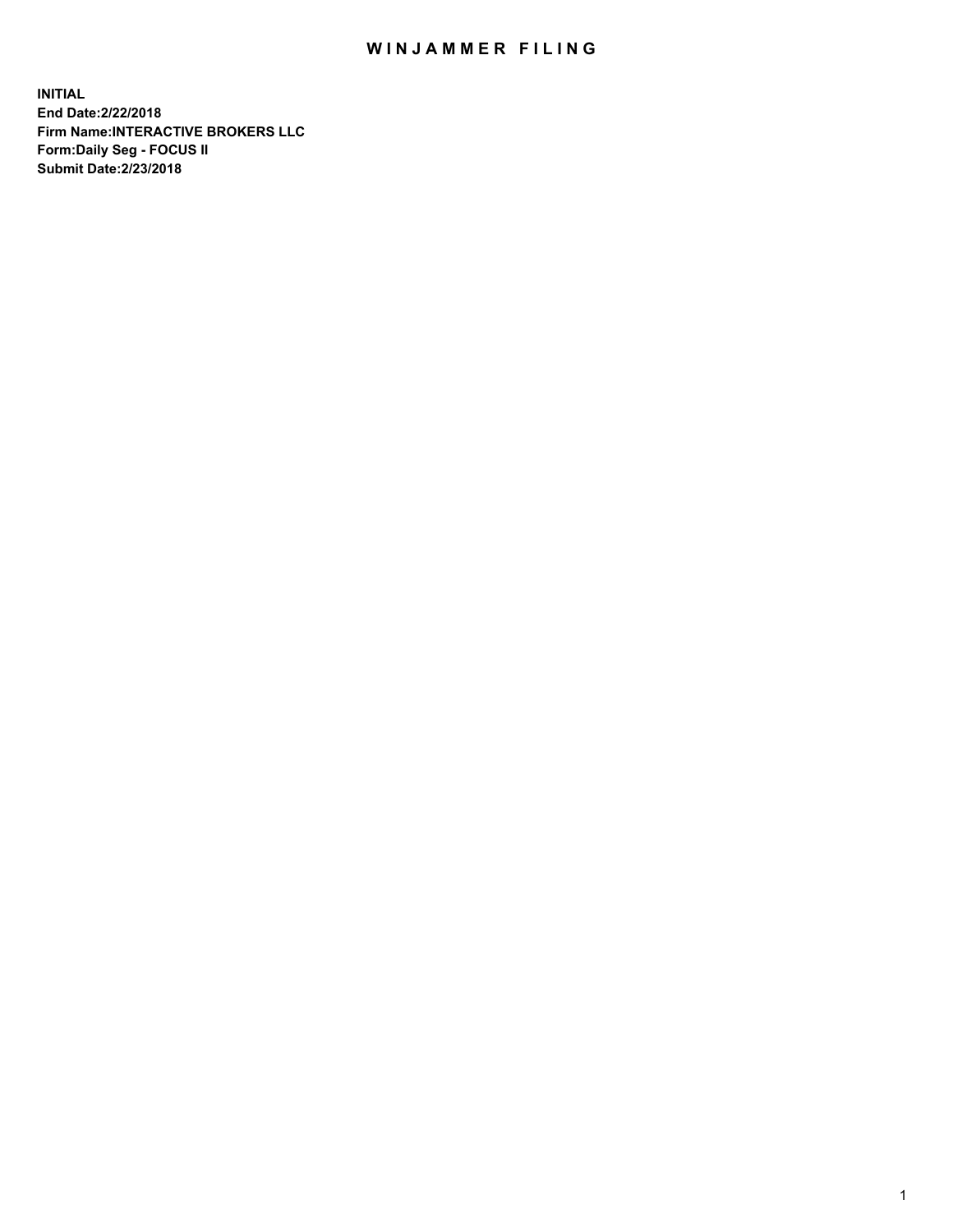## WIN JAMMER FILING

**INITIAL End Date:2/22/2018 Firm Name:INTERACTIVE BROKERS LLC Form:Daily Seg - FOCUS II Submit Date:2/23/2018**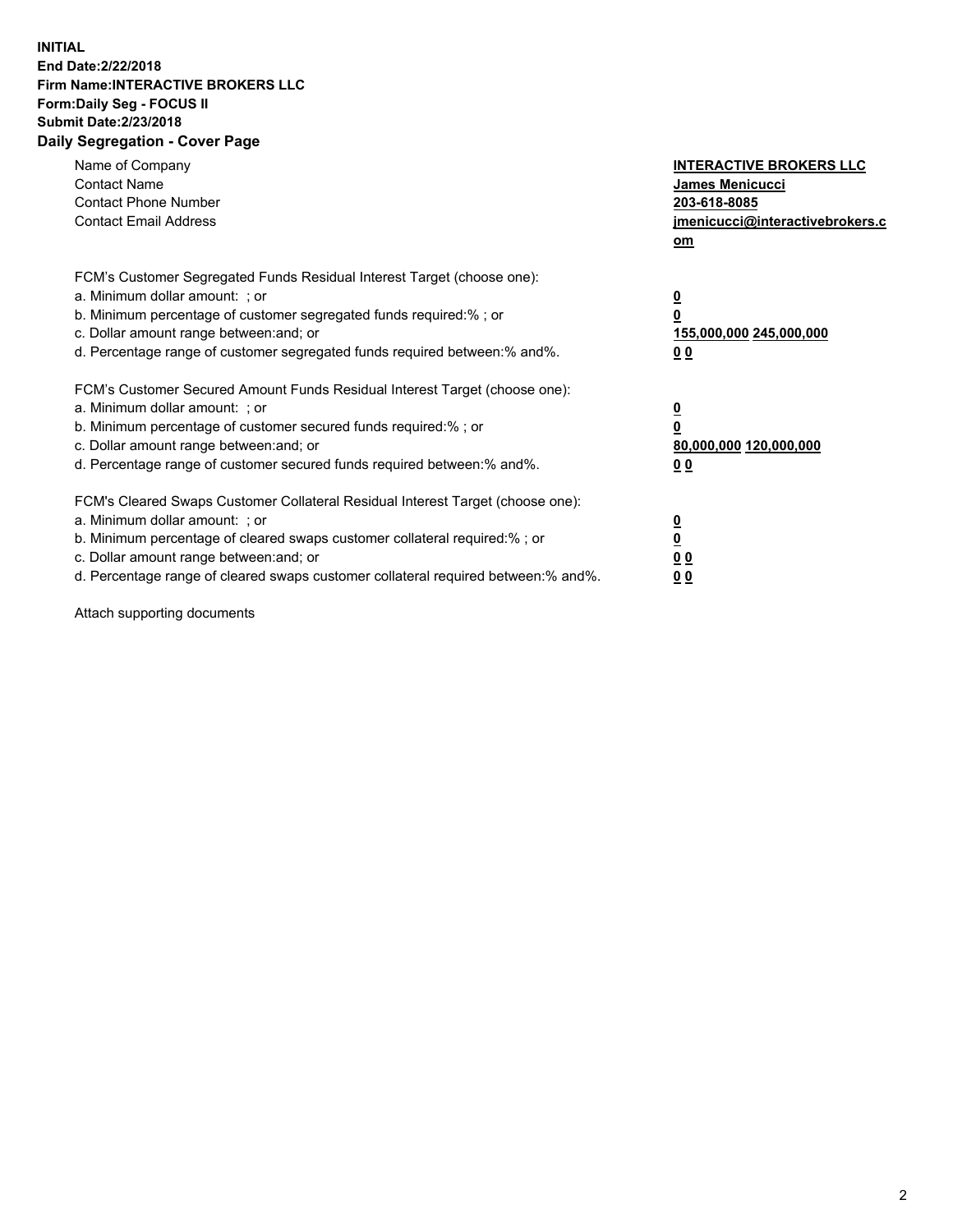## **INITIAL End Date:2/22/2018 Firm Name:INTERACTIVE BROKERS LLC Form:Daily Seg - FOCUS II Submit Date:2/23/2018 Daily Segregation - Cover Page**

| Name of Company<br><b>Contact Name</b><br><b>Contact Phone Number</b><br><b>Contact Email Address</b>                                                                                                                                                                                                                          | <b>INTERACTIVE BROKERS LLC</b><br><b>James Menicucci</b><br>203-618-8085<br>jmenicucci@interactivebrokers.c<br>om |
|--------------------------------------------------------------------------------------------------------------------------------------------------------------------------------------------------------------------------------------------------------------------------------------------------------------------------------|-------------------------------------------------------------------------------------------------------------------|
| FCM's Customer Segregated Funds Residual Interest Target (choose one):<br>a. Minimum dollar amount: ; or<br>b. Minimum percentage of customer segregated funds required:% ; or<br>c. Dollar amount range between: and; or<br>d. Percentage range of customer segregated funds required between: % and %.                       | $\overline{\mathbf{0}}$<br>0<br>155,000,000 245,000,000<br>00                                                     |
| FCM's Customer Secured Amount Funds Residual Interest Target (choose one):<br>a. Minimum dollar amount: ; or<br>b. Minimum percentage of customer secured funds required:%; or<br>c. Dollar amount range between: and; or<br>d. Percentage range of customer secured funds required between: % and %.                          | $\overline{\mathbf{0}}$<br>0<br>80,000,000 120,000,000<br>00                                                      |
| FCM's Cleared Swaps Customer Collateral Residual Interest Target (choose one):<br>a. Minimum dollar amount: ; or<br>b. Minimum percentage of cleared swaps customer collateral required:% ; or<br>c. Dollar amount range between: and; or<br>d. Percentage range of cleared swaps customer collateral required between:% and%. | $\overline{\mathbf{0}}$<br>$\overline{\mathbf{0}}$<br>00<br>0 <sub>0</sub>                                        |

Attach supporting documents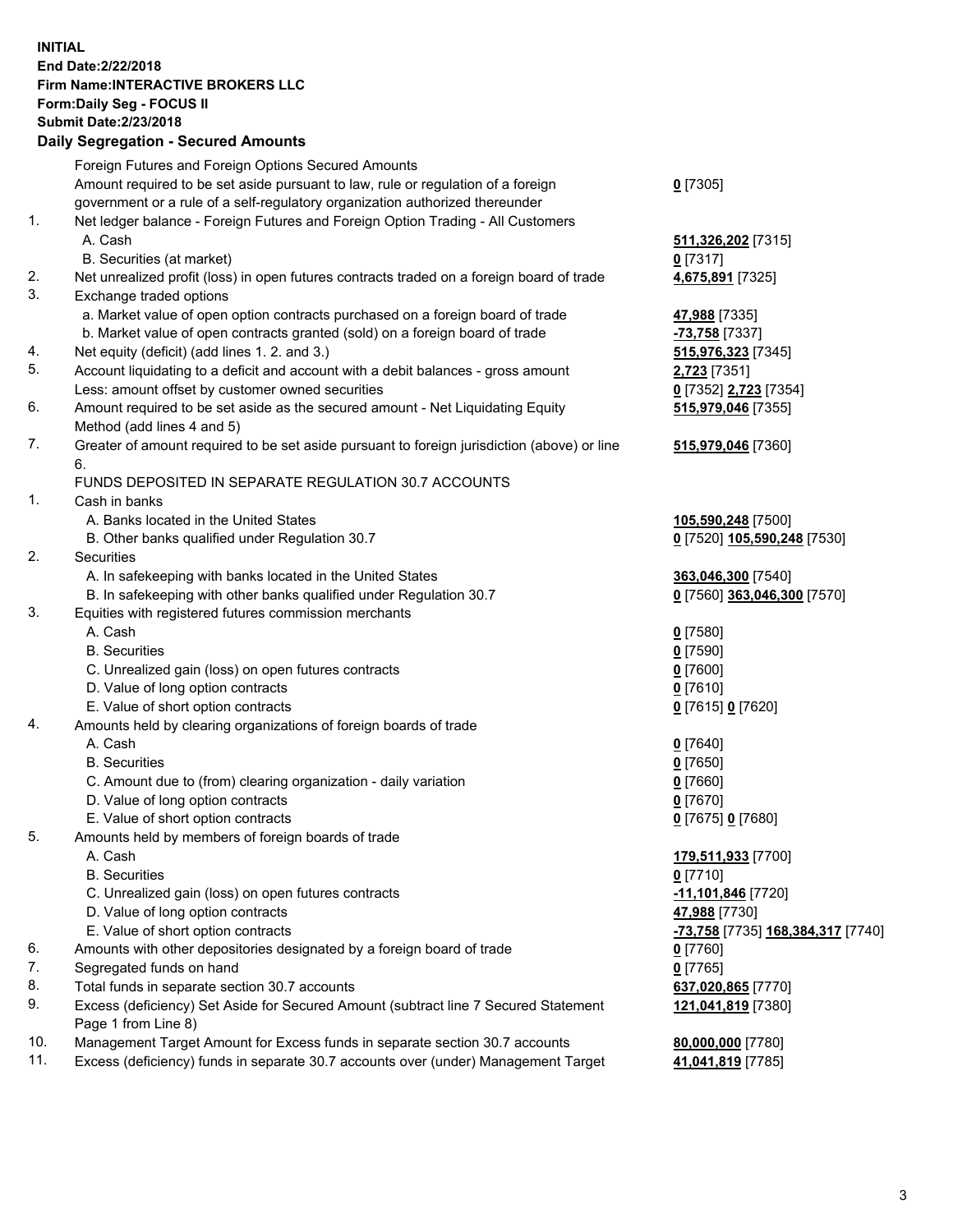## **INITIAL End Date:2/22/2018 Firm Name:INTERACTIVE BROKERS LLC Form:Daily Seg - FOCUS II Submit Date:2/23/2018 Daily Segregation - Secured Amounts**

|     | Daily Ocglegation - Occarea Anioants                                                        |                                   |
|-----|---------------------------------------------------------------------------------------------|-----------------------------------|
|     | Foreign Futures and Foreign Options Secured Amounts                                         |                                   |
|     | Amount required to be set aside pursuant to law, rule or regulation of a foreign            | $0$ [7305]                        |
|     | government or a rule of a self-regulatory organization authorized thereunder                |                                   |
| 1.  | Net ledger balance - Foreign Futures and Foreign Option Trading - All Customers             |                                   |
|     | A. Cash                                                                                     | 511,326,202 [7315]                |
|     | B. Securities (at market)                                                                   | $0$ [7317]                        |
| 2.  | Net unrealized profit (loss) in open futures contracts traded on a foreign board of trade   | 4,675,891 [7325]                  |
| 3.  | Exchange traded options                                                                     |                                   |
|     | a. Market value of open option contracts purchased on a foreign board of trade              | 47,988 [7335]                     |
|     | b. Market value of open contracts granted (sold) on a foreign board of trade                | -73,758 [7337]                    |
| 4.  | Net equity (deficit) (add lines 1. 2. and 3.)                                               | 515,976,323 [7345]                |
| 5.  | Account liquidating to a deficit and account with a debit balances - gross amount           | <b>2,723</b> [7351]               |
|     | Less: amount offset by customer owned securities                                            | 0 [7352] 2,723 [7354]             |
| 6.  | Amount required to be set aside as the secured amount - Net Liquidating Equity              | 515,979,046 [7355]                |
|     | Method (add lines 4 and 5)                                                                  |                                   |
| 7.  | Greater of amount required to be set aside pursuant to foreign jurisdiction (above) or line | 515,979,046 [7360]                |
|     | 6.                                                                                          |                                   |
|     | FUNDS DEPOSITED IN SEPARATE REGULATION 30.7 ACCOUNTS                                        |                                   |
| 1.  | Cash in banks                                                                               |                                   |
|     | A. Banks located in the United States                                                       | 105,590,248 [7500]                |
|     | B. Other banks qualified under Regulation 30.7                                              | 0 [7520] 105,590,248 [7530]       |
| 2.  | Securities                                                                                  |                                   |
|     | A. In safekeeping with banks located in the United States                                   | 363,046,300 [7540]                |
|     | B. In safekeeping with other banks qualified under Regulation 30.7                          | 0 [7560] 363,046,300 [7570]       |
| 3.  | Equities with registered futures commission merchants                                       |                                   |
|     | A. Cash                                                                                     | $0$ [7580]                        |
|     | <b>B.</b> Securities                                                                        | $0$ [7590]                        |
|     | C. Unrealized gain (loss) on open futures contracts                                         | $0$ [7600]                        |
|     | D. Value of long option contracts                                                           | $0$ [7610]                        |
|     | E. Value of short option contracts                                                          | 0 [7615] 0 [7620]                 |
| 4.  | Amounts held by clearing organizations of foreign boards of trade                           |                                   |
|     | A. Cash                                                                                     | $0$ [7640]                        |
|     | <b>B.</b> Securities                                                                        | $0$ [7650]                        |
|     | C. Amount due to (from) clearing organization - daily variation                             | $0$ [7660]                        |
|     | D. Value of long option contracts                                                           | $0$ [7670]                        |
|     | E. Value of short option contracts                                                          | 0 [7675] 0 [7680]                 |
| 5.  | Amounts held by members of foreign boards of trade                                          |                                   |
|     | A. Cash                                                                                     | 179,511,933 [7700]                |
|     | <b>B.</b> Securities                                                                        | $0$ [7710]                        |
|     | C. Unrealized gain (loss) on open futures contracts                                         | -11,101,846 <sup>[7720]</sup>     |
|     | D. Value of long option contracts                                                           | 47,988 [7730]                     |
|     | E. Value of short option contracts                                                          | -73,758 [7735] 168,384,317 [7740] |
| 6.  | Amounts with other depositories designated by a foreign board of trade                      | 0 [7760]                          |
| 7.  | Segregated funds on hand                                                                    | $0$ [7765]                        |
| 8.  | Total funds in separate section 30.7 accounts                                               | 637,020,865 [7770]                |
| 9.  | Excess (deficiency) Set Aside for Secured Amount (subtract line 7 Secured Statement         | 121,041,819 [7380]                |
|     | Page 1 from Line 8)                                                                         |                                   |
| 10. | Management Target Amount for Excess funds in separate section 30.7 accounts                 | 80,000,000 [7780]                 |
| 11. | Excess (deficiency) funds in separate 30.7 accounts over (under) Management Target          | 41,041,819 [7785]                 |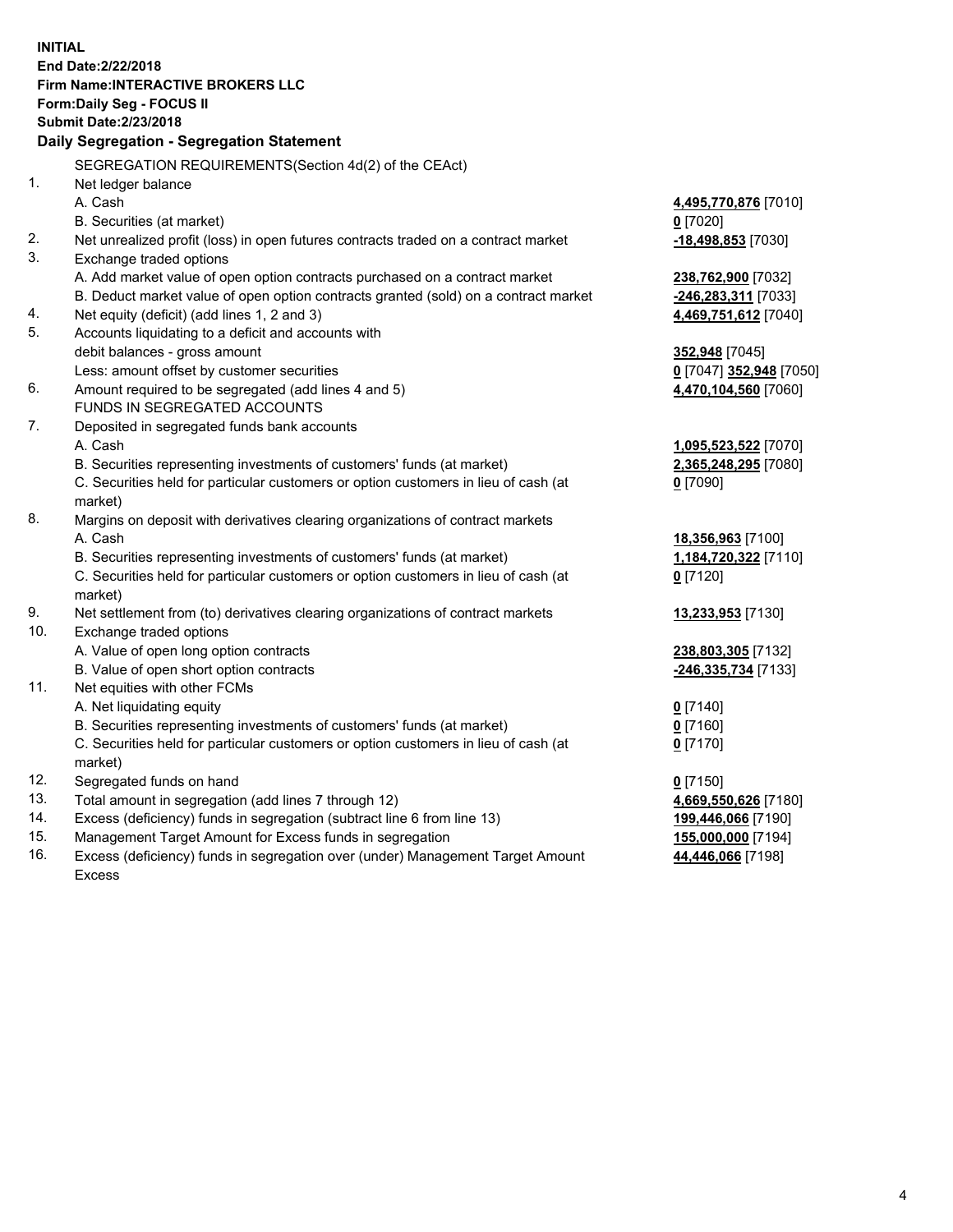**INITIAL End Date:2/22/2018 Firm Name:INTERACTIVE BROKERS LLC Form:Daily Seg - FOCUS II Submit Date:2/23/2018 Daily Segregation - Segregation Statement** SEGREGATION REQUIREMENTS(Section 4d(2) of the CEAct) 1. Net ledger balance A. Cash **4,495,770,876** [7010] B. Securities (at market) **0** [7020] 2. Net unrealized profit (loss) in open futures contracts traded on a contract market **-18,498,853** [7030] 3. Exchange traded options A. Add market value of open option contracts purchased on a contract market **238,762,900** [7032] B. Deduct market value of open option contracts granted (sold) on a contract market **-246,283,311** [7033] 4. Net equity (deficit) (add lines 1, 2 and 3) **4,469,751,612** [7040] 5. Accounts liquidating to a deficit and accounts with debit balances - gross amount **352,948** [7045] Less: amount offset by customer securities **0** [7047] **352,948** [7050] 6. Amount required to be segregated (add lines 4 and 5) **4,470,104,560** [7060] FUNDS IN SEGREGATED ACCOUNTS 7. Deposited in segregated funds bank accounts A. Cash **1,095,523,522** [7070] B. Securities representing investments of customers' funds (at market) **2,365,248,295** [7080] C. Securities held for particular customers or option customers in lieu of cash (at market) **0** [7090] 8. Margins on deposit with derivatives clearing organizations of contract markets A. Cash **18,356,963** [7100] B. Securities representing investments of customers' funds (at market) **1,184,720,322** [7110] C. Securities held for particular customers or option customers in lieu of cash (at market) **0** [7120] 9. Net settlement from (to) derivatives clearing organizations of contract markets **13,233,953** [7130] 10. Exchange traded options A. Value of open long option contracts **238,803,305** [7132] B. Value of open short option contracts **-246,335,734** [7133] 11. Net equities with other FCMs A. Net liquidating equity **0** [7140] B. Securities representing investments of customers' funds (at market) **0** [7160] C. Securities held for particular customers or option customers in lieu of cash (at market) **0** [7170] 12. Segregated funds on hand **0** [7150] 13. Total amount in segregation (add lines 7 through 12) **4,669,550,626** [7180] 14. Excess (deficiency) funds in segregation (subtract line 6 from line 13) **199,446,066** [7190] 15. Management Target Amount for Excess funds in segregation **155,000,000** [7194]

16. Excess (deficiency) funds in segregation over (under) Management Target Amount Excess

**44,446,066** [7198]